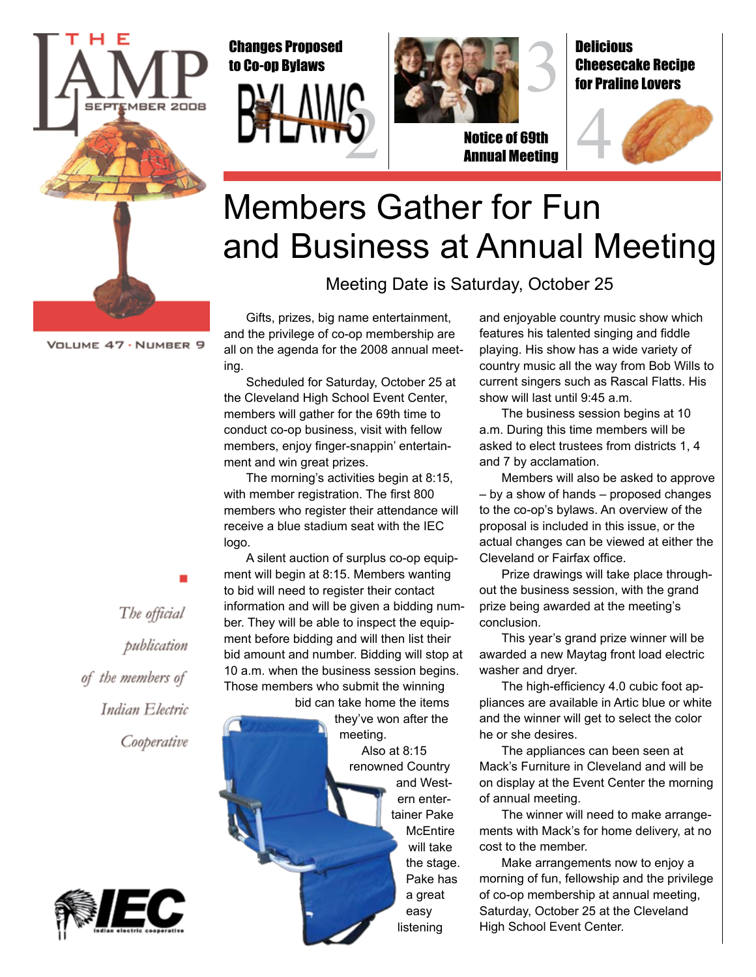

#### Changes Proposed to Co-op Bylaws





Notice of 69th Annual Meeting



**Delicious** 

### Members Gather for Fun and Business at Annual Meeting

Meeting Date is Saturday, October 25

VOLUME 47 · NUMBER 9

Gifts, prizes, big name entertainment, and the privilege of co-op membership are all on the agenda for the 2008 annual meeting.

Scheduled for Saturday, October 25 at the Cleveland High School Event Center, members will gather for the 69th time to conduct co-op business, visit with fellow members, enjoy finger-snappin' entertainment and win great prizes.

The morning's activities begin at 8:15, with member registration. The first 800 members who register their attendance will receive a blue stadium seat with the IEC logo.

A silent auction of surplus co-op equipment will begin at 8:15. Members wanting to bid will need to register their contact information and will be given a bidding number. They will be able to inspect the equipment before bidding and will then list their bid amount and number. Bidding will stop at 10 a.m. when the business session begins. Those members who submit the winning bid can take home the items

they've won after the meeting. Also at 8:15 renowned Country and Western entertainer Pake **McEntire** will take the stage. Pake has a great easy listening

and enjoyable country music show which features his talented singing and fiddle playing. His show has a wide variety of country music all the way from Bob Wills to current singers such as Rascal Flatts. His show will last until 9:45 a.m.

The business session begins at 10 a.m. During this time members will be asked to elect trustees from districts 1, 4 and 7 by acclamation.

Members will also be asked to approve – by a show of hands – proposed changes to the co-op's bylaws. An overview of the proposal is included in this issue, or the actual changes can be viewed at either the Cleveland or Fairfax office.

Prize drawings will take place throughout the business session, with the grand prize being awarded at the meeting's conclusion.

This year's grand prize winner will be awarded a new Maytag front load electric washer and dryer.

The high-efficiency 4.0 cubic foot appliances are available in Artic blue or white and the winner will get to select the color he or she desires.

The appliances can been seen at Mack's Furniture in Cleveland and will be on display at the Event Center the morning of annual meeting.

The winner will need to make arrangements with Mack's for home delivery, at no cost to the member.

Make arrangements now to enjoy a morning of fun, fellowship and the privilege of co-op membership at annual meeting, Saturday, October 25 at the Cleveland High School Event Center.

The official publication of the members of Indian Electric Cooperative

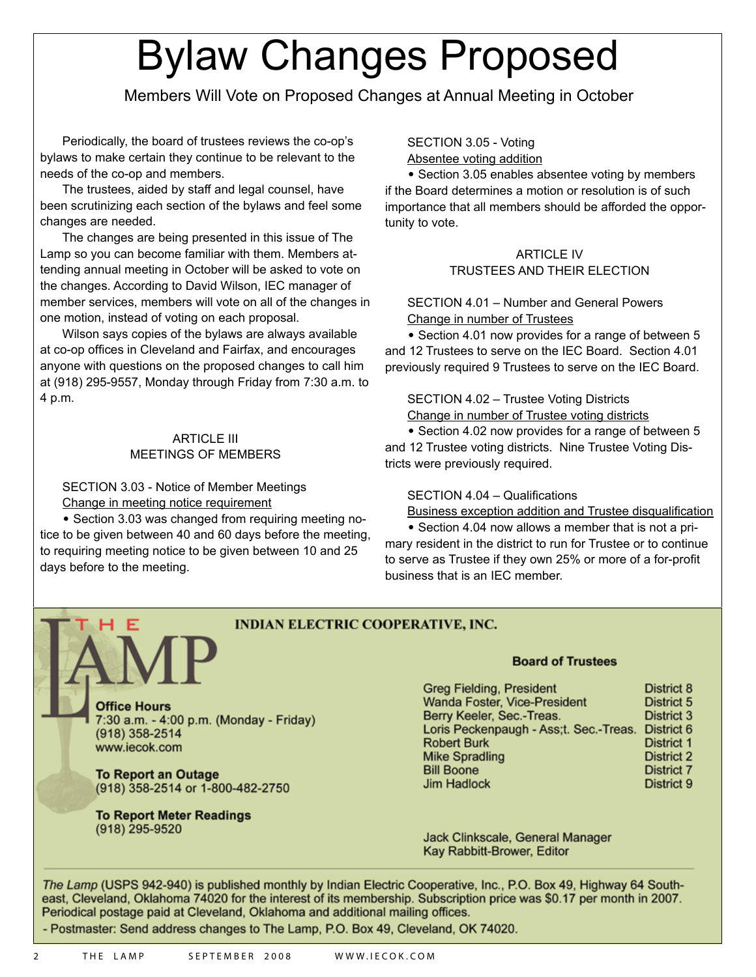# Bylaw Changes Proposed

Members Will Vote on Proposed Changes at Annual Meeting in October

Periodically, the board of trustees reviews the co-op's bylaws to make certain they continue to be relevant to the needs of the co-op and members.

The trustees, aided by staff and legal counsel, have been scrutinizing each section of the bylaws and feel some changes are needed.

The changes are being presented in this issue of The Lamp so you can become familiar with them. Members attending annual meeting in October will be asked to vote on the changes. According to David Wilson, IEC manager of member services, members will vote on all of the changes in one motion, instead of voting on each proposal.

Wilson says copies of the bylaws are always available at co-op offices in Cleveland and Fairfax, and encourages anyone with questions on the proposed changes to call him at (918) 295-9557, Monday through Friday from 7:30 a.m. to 4 p.m.

#### ARTICLE III MEETINGS OF MEMBERS

SECTION 3.03 - Notice of Member Meetings Change in meeting notice requirement

**•** Section 3.03 was changed from requiring meeting notice to be given between 40 and 60 days before the meeting, to requiring meeting notice to be given between 10 and 25 days before to the meeting.

SECTION 3.05 - Voting Absentee voting addition

**•** Section 3.05 enables absentee voting by members if the Board determines a motion or resolution is of such importance that all members should be afforded the opportunity to vote.

#### ARTICLE IV TRUSTEES AND THEIR ELECTION

SECTION 4.01 – Number and General Powers Change in number of Trustees

**•** Section 4.01 now provides for a range of between 5 and 12 Trustees to serve on the IEC Board. Section 4.01 previously required 9 Trustees to serve on the IEC Board.

SECTION 4.02 – Trustee Voting Districts

Change in number of Trustee voting districts

**•** Section 4.02 now provides for a range of between 5 and 12 Trustee voting districts. Nine Trustee Voting Districts were previously required.

#### SECTION 4.04 – Qualifications

Business exception addition and Trustee disqualification

**•** Section 4.04 now allows a member that is not a primary resident in the district to run for Trustee or to continue to serve as Trustee if they own 25% or more of a for-profit business that is an IEC member.

#### **INDIAN ELECTRIC COOPERATIVE, INC.**

**Office Hours** 7:30 a.m. – 4:00 p.m. (Monday - Friday) (918) 358-2514 www.iecok.com

**To Report an Outage** (918) 358-2514 or 1-800-482-2750

**To Report Meter Readings**  (918) 295-9520

#### **Board of Trustees**

| <b>Greg Fielding, President</b>                   | District 8        |
|---------------------------------------------------|-------------------|
| Wanda Foster, Vice-President                      | District 5        |
| Berry Keeler, Sec.-Treas.                         | District 3        |
| Loris Peckenpaugh - Ass;t. Sec.-Treas. District 6 |                   |
| <b>Robert Burk</b>                                | District 1        |
| <b>Mike Spradling</b>                             | District 2        |
| <b>Bill Boone</b>                                 | <b>District 7</b> |
| <b>Jim Hadlock</b>                                | District 9        |

Jack Clinkscale, General Manager Kay Rabbitt-Brower, Editor

*The Lamp* (USPS 942-940) is published monthly by Indian Electric Cooperative, Inc., P.O. Box 49, Highway 64 Southeast, Cleveland, Oklahoma 74020 for the interest of its membership. Subscription price was \$0.17 per month in 2007. Periodical postage paid at Cleveland, Oklahoma and additional mailing offices.

- Postmaster: Send address changes to The Lamp, P.O. Box 49, Cleveland, OK 74020.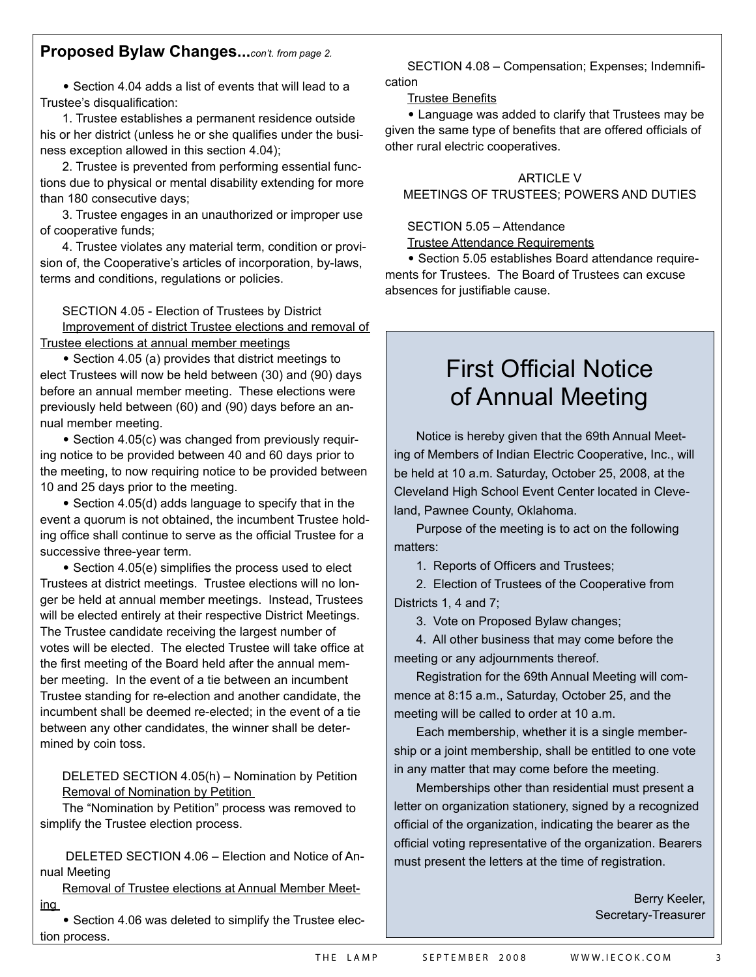#### **Proposed Bylaw Changes...***con't. from page 2.*

**•** Section 4.04 adds a list of events that will lead to a Trustee's disqualification:

1. Trustee establishes a permanent residence outside his or her district (unless he or she qualifies under the business exception allowed in this section 4.04);

2. Trustee is prevented from performing essential functions due to physical or mental disability extending for more than 180 consecutive days;

3. Trustee engages in an unauthorized or improper use of cooperative funds;

4. Trustee violates any material term, condition or provision of, the Cooperative's articles of incorporation, by-laws, terms and conditions, regulations or policies.

SECTION 4.05 - Election of Trustees by District Improvement of district Trustee elections and removal of Trustee elections at annual member meetings

**•** Section 4.05 (a) provides that district meetings to elect Trustees will now be held between (30) and (90) days before an annual member meeting. These elections were previously held between (60) and (90) days before an annual member meeting.

**•** Section 4.05(c) was changed from previously requiring notice to be provided between 40 and 60 days prior to the meeting, to now requiring notice to be provided between 10 and 25 days prior to the meeting.

**•** Section 4.05(d) adds language to specify that in the event a quorum is not obtained, the incumbent Trustee holding office shall continue to serve as the official Trustee for a successive three-year term.

**•** Section 4.05(e) simplifies the process used to elect Trustees at district meetings. Trustee elections will no longer be held at annual member meetings. Instead, Trustees will be elected entirely at their respective District Meetings. The Trustee candidate receiving the largest number of votes will be elected. The elected Trustee will take office at the first meeting of the Board held after the annual member meeting. In the event of a tie between an incumbent Trustee standing for re-election and another candidate, the incumbent shall be deemed re-elected; in the event of a tie between any other candidates, the winner shall be determined by coin toss.

DELETED SECTION 4.05(h) – Nomination by Petition Removal of Nomination by Petition

The "Nomination by Petition" process was removed to simplify the Trustee election process.

 DELETED SECTION 4.06 – Election and Notice of Annual Meeting

Removal of Trustee elections at Annual Member Meeting

**•** Section 4.06 was deleted to simplify the Trustee election process.

SECTION 4.08 – Compensation; Expenses; Indemnification

#### Trustee Benefits

**•** Language was added to clarify that Trustees may be given the same type of benefits that are offered officials of other rural electric cooperatives.

#### ARTICLE V MEETINGS OF TRUSTEES; POWERS AND DUTIES

#### SECTION 5.05 – Attendance

Trustee Attendance Requirements

**•** Section 5.05 establishes Board attendance requirements for Trustees. The Board of Trustees can excuse absences for justifiable cause.

### First Official Notice of Annual Meeting

Notice is hereby given that the 69th Annual Meeting of Members of Indian Electric Cooperative, Inc., will be held at 10 a.m. Saturday, October 25, 2008, at the Cleveland High School Event Center located in Cleveland, Pawnee County, Oklahoma.

Purpose of the meeting is to act on the following matters:

1. Reports of Officers and Trustees;

2. Election of Trustees of the Cooperative from Districts 1, 4 and 7;

3. Vote on Proposed Bylaw changes;

4. All other business that may come before the meeting or any adjournments thereof.

Registration for the 69th Annual Meeting will commence at 8:15 a.m., Saturday, October 25, and the meeting will be called to order at 10 a.m.

Each membership, whether it is a single membership or a joint membership, shall be entitled to one vote in any matter that may come before the meeting.

Memberships other than residential must present a letter on organization stationery, signed by a recognized official of the organization, indicating the bearer as the official voting representative of the organization. Bearers must present the letters at the time of registration.

> Berry Keeler, Secretary-Treasurer